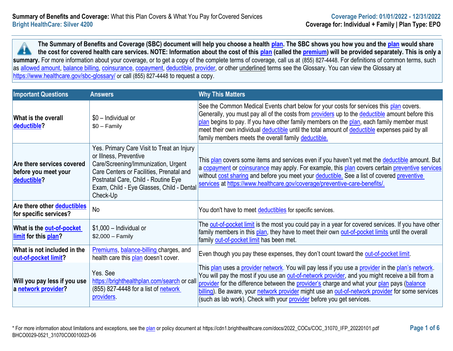**The Summary of Benefits and Coverage (SBC) document will help you choose a health [plan.](https://www.healthcare.gov/sbc-glossary/#plan) The SBC shows you how you and the [plan](https://www.healthcare.gov/sbc-glossary/#plan) would share the cost for covered health care services. NOTE: Information about the cost of this [plan](https://www.healthcare.gov/sbc-glossary/#plan) (called the [premium\)](https://www.healthcare.gov/sbc-glossary/#premium) will be provided separately. This is only a**  H. summary. For more information about your coverage, or to get a copy of the complete terms of coverage, call us at (855) 827-4448. For definitions of common terms, such as [allowed amount,](https://www.healthcare.gov/sbc-glossary/#allowed-amount) [balance billing,](https://www.healthcare.gov/sbc-glossary/#balance-billing) [coinsurance,](https://www.healthcare.gov/sbc-glossary/#coinsurance) [copayment,](https://www.healthcare.gov/sbc-glossary/#copayment) [deductible,](https://www.healthcare.gov/sbc-glossary/#deductible) [provider,](https://www.healthcare.gov/sbc-glossary/#provider) or other underlined terms see the Glossary. You can view the Glossary at <https://www.healthcare.gov/sbc-glossary/> or call (855) 827-4448 to request a copy.

| <b>Important Questions</b>                                        | <b>Answers</b>                                                                                                                                                                                                                                          | <b>Why This Matters</b>                                                                                                                                                                                                                                                                                                                                                                                                                                                          |
|-------------------------------------------------------------------|---------------------------------------------------------------------------------------------------------------------------------------------------------------------------------------------------------------------------------------------------------|----------------------------------------------------------------------------------------------------------------------------------------------------------------------------------------------------------------------------------------------------------------------------------------------------------------------------------------------------------------------------------------------------------------------------------------------------------------------------------|
| What is the overall<br>deductible?                                | \$0 - Individual or<br>$$0 - Family$                                                                                                                                                                                                                    | See the Common Medical Events chart below for your costs for services this plan covers.<br>Generally, you must pay all of the costs from <b>providers</b> up to the <b>deductible</b> amount before this<br>plan begins to pay. If you have other family members on the plan, each family member must<br>meet their own individual deductible until the total amount of deductible expenses paid by all<br>family members meets the overall family deductible.                   |
| Are there services covered<br>before you meet your<br>deductible? | Yes. Primary Care Visit to Treat an Injury<br>or Illness, Preventive<br>Care/Screening/Immunization, Urgent<br>Care Centers or Facilities, Prenatal and<br>Postnatal Care, Child - Routine Eye<br>Exam, Child - Eye Glasses, Child - Dental<br>Check-Up | This plan covers some items and services even if you haven't yet met the deductible amount. But<br>a copayment or coinsurance may apply. For example, this plan covers certain preventive services<br>without cost sharing and before you meet your deductible. See a list of covered preventive<br>services at https://www.healthcare.gov/coverage/preventive-care-benefits/.                                                                                                   |
| Are there other <b>deductibles</b><br>for specific services?      | No                                                                                                                                                                                                                                                      | You don't have to meet deductibles for specific services.                                                                                                                                                                                                                                                                                                                                                                                                                        |
| What is the <b>out-of-pocket</b><br>limit for this plan?          | $$1,000$ - Individual or<br>$$2,000 - Family$                                                                                                                                                                                                           | The out-of-pocket limit is the most you could pay in a year for covered services. If you have other<br>family members in this plan, they have to meet their own out-of-pocket limits until the overall<br>family out-of-pocket limit has been met.                                                                                                                                                                                                                               |
| What is not included in the<br>out-of-pocket limit?               | Premiums, balance-billing charges, and<br>health care this plan doesn't cover.                                                                                                                                                                          | Even though you pay these expenses, they don't count toward the out-of-pocket limit.                                                                                                                                                                                                                                                                                                                                                                                             |
| Will you pay less if you use<br>a network provider?               | Yes. See<br>https://brighthealthplan.com/search or call<br>(855) 827-4448 for a list of network<br>providers.                                                                                                                                           | This plan uses a provider network. You will pay less if you use a provider in the plan's network.<br>You will pay the most if you use an out-of-network provider, and you might receive a bill from a<br>provider for the difference between the provider's charge and what your plan pays (balance<br>billing). Be aware, your network provider might use an out-of-network provider for some services<br>(such as lab work). Check with your provider before you get services. |

\* For more information about limitations and exceptions, see the [plan](https://www.healthcare.gov/sbc-glossary/#plan) or policy document at https://cdn1.brighthealthcare.com/docs/2022\_COCs/COC\_31070\_IFP\_20220101.pdf **Page 1 of 6** BHCO0029-0521\_31070CO0010023-06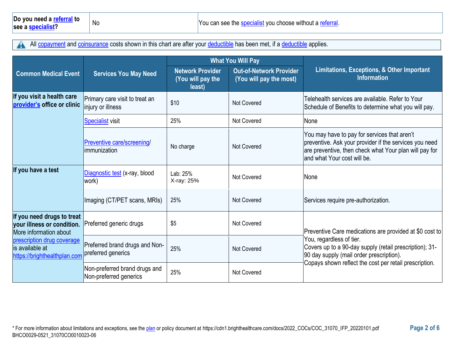All [copayment](https://www.healthcare.gov/sbc-glossary/#copayment) and [coinsurance](https://www.healthcare.gov/sbc-glossary/#coinsurance) costs shown in this chart are after your [deductible](https://www.healthcare.gov/sbc-glossary/#deductible) has been met, if a deductible applies. A

|                                                                                    |                                                         | <b>What You Will Pay</b>                               |                                                    |                                                                                                                                                                                                 |  |
|------------------------------------------------------------------------------------|---------------------------------------------------------|--------------------------------------------------------|----------------------------------------------------|-------------------------------------------------------------------------------------------------------------------------------------------------------------------------------------------------|--|
| <b>Common Medical Event</b>                                                        | <b>Services You May Need</b>                            | <b>Network Provider</b><br>(You will pay the<br>least) | Out-of-Network Provider<br>(You will pay the most) | Limitations, Exceptions, & Other Important<br><b>Information</b>                                                                                                                                |  |
| If you visit a health care<br>provider's office or clinic                          | Primary care visit to treat an<br>injury or illness     | \$10                                                   | <b>Not Covered</b>                                 | Telehealth services are available. Refer to Your<br>Schedule of Benefits to determine what you will pay.                                                                                        |  |
|                                                                                    | <b>Specialist visit</b>                                 | 25%                                                    | <b>Not Covered</b>                                 | None                                                                                                                                                                                            |  |
|                                                                                    | Preventive care/screening/<br>immunization              | No charge                                              | Not Covered                                        | You may have to pay for services that aren't<br>preventive. Ask your provider if the services you need<br>are preventive, then check what Your plan will pay for<br>and what Your cost will be. |  |
| If you have a test                                                                 | Diagnostic test (x-ray, blood<br>work)                  | Lab: 25%<br>X-ray: 25%                                 | <b>Not Covered</b>                                 | None                                                                                                                                                                                            |  |
|                                                                                    | Imaging (CT/PET scans, MRIs)                            | 25%                                                    | <b>Not Covered</b>                                 | Services require pre-authorization.                                                                                                                                                             |  |
| If you need drugs to treat<br>your illness or condition.<br>More information about | Preferred generic drugs                                 | \$5                                                    | Not Covered                                        | Preventive Care medications are provided at \$0 cost to                                                                                                                                         |  |
| prescription drug coverage<br>lis available at<br>https://brighthealthplan.com     | Preferred brand drugs and Non-<br>preferred generics    | 25%                                                    | <b>Not Covered</b>                                 | You, regardless of tier.<br>Covers up to a 90-day supply (retail prescription); 31-<br>90 day supply (mail order prescription).                                                                 |  |
|                                                                                    | Non-preferred brand drugs and<br>Non-preferred generics | 25%                                                    | <b>Not Covered</b>                                 | Copays shown reflect the cost per retail prescription.                                                                                                                                          |  |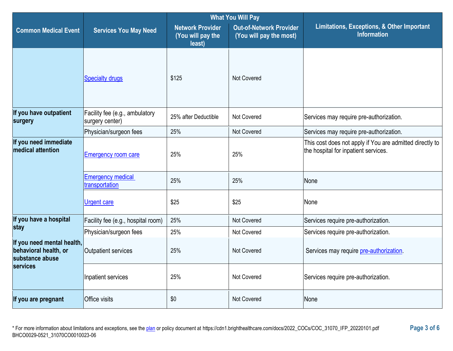|                                                                        |                                                   | <b>What You Will Pay</b>                               |                                                           |                                                                                                  |  |
|------------------------------------------------------------------------|---------------------------------------------------|--------------------------------------------------------|-----------------------------------------------------------|--------------------------------------------------------------------------------------------------|--|
| <b>Common Medical Event</b>                                            | <b>Services You May Need</b>                      | <b>Network Provider</b><br>(You will pay the<br>least) | <b>Out-of-Network Provider</b><br>(You will pay the most) | Limitations, Exceptions, & Other Important<br><b>Information</b>                                 |  |
|                                                                        | <b>Specialty drugs</b>                            | \$125                                                  | <b>Not Covered</b>                                        |                                                                                                  |  |
| If you have outpatient<br>surgery                                      | Facility fee (e.g., ambulatory<br>surgery center) | 25% after Deductible                                   | <b>Not Covered</b>                                        | Services may require pre-authorization.                                                          |  |
|                                                                        | Physician/surgeon fees                            | 25%                                                    | Not Covered                                               | Services may require pre-authorization.                                                          |  |
| If you need immediate<br>medical attention                             | <b>Emergency room care</b>                        | 25%                                                    | 25%                                                       | This cost does not apply if You are admitted directly to<br>the hospital for inpatient services. |  |
|                                                                        | <b>Emergency medical</b><br>transportation        | 25%                                                    | 25%                                                       | None                                                                                             |  |
|                                                                        | <b>Urgent care</b>                                | \$25                                                   | \$25                                                      | None                                                                                             |  |
| If you have a hospital                                                 | Facility fee (e.g., hospital room)                | 25%                                                    | <b>Not Covered</b>                                        | Services require pre-authorization.                                                              |  |
| stay                                                                   | Physician/surgeon fees                            | 25%                                                    | Not Covered                                               | Services require pre-authorization.                                                              |  |
| If you need mental health,<br>behavioral health, or<br>substance abuse | Outpatient services                               | 25%                                                    | Not Covered                                               | Services may require pre-authorization.                                                          |  |
| services                                                               | Inpatient services                                | 25%                                                    | Not Covered                                               | Services require pre-authorization.                                                              |  |
| If you are pregnant                                                    | Office visits                                     | \$0                                                    | Not Covered                                               | None                                                                                             |  |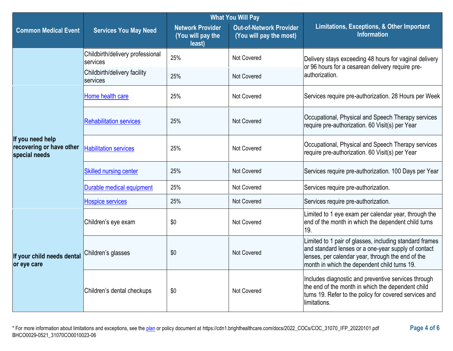|                                                               |                                              | <b>What You Will Pay</b>                               |                                                           |                                                                                                                                                                                                                     |  |
|---------------------------------------------------------------|----------------------------------------------|--------------------------------------------------------|-----------------------------------------------------------|---------------------------------------------------------------------------------------------------------------------------------------------------------------------------------------------------------------------|--|
| <b>Common Medical Event</b><br><b>Services You May Need</b>   |                                              | <b>Network Provider</b><br>(You will pay the<br>least) | <b>Out-of-Network Provider</b><br>(You will pay the most) | <b>Limitations, Exceptions, &amp; Other Important</b><br><b>Information</b>                                                                                                                                         |  |
|                                                               | Childbirth/delivery professional<br>services | 25%                                                    | <b>Not Covered</b>                                        | Delivery stays exceeding 48 hours for vaginal delivery<br>or 96 hours for a cesarean delivery require pre-                                                                                                          |  |
|                                                               | Childbirth/delivery facility<br>services     | 25%                                                    | Not Covered                                               | lauthorization.                                                                                                                                                                                                     |  |
|                                                               | Home health care                             | 25%                                                    | Not Covered                                               | Services require pre-authorization. 28 Hours per Week                                                                                                                                                               |  |
|                                                               | <b>Rehabilitation services</b>               | 25%                                                    | Not Covered                                               | Occupational, Physical and Speech Therapy services<br>require pre-authorization. 60 Visit(s) per Year                                                                                                               |  |
| If you need help<br>recovering or have other<br>special needs | <b>Habilitation services</b>                 | 25%                                                    | Not Covered                                               | Occupational, Physical and Speech Therapy services<br>require pre-authorization. 60 Visit(s) per Year                                                                                                               |  |
|                                                               | <b>Skilled nursing center</b>                | 25%                                                    | Not Covered                                               | Services require pre-authorization. 100 Days per Year                                                                                                                                                               |  |
|                                                               | Durable medical equipment                    | 25%                                                    | Not Covered                                               | Services require pre-authorization.                                                                                                                                                                                 |  |
|                                                               | <b>Hospice services</b>                      | 25%                                                    | Not Covered                                               | Services require pre-authorization.                                                                                                                                                                                 |  |
|                                                               | Children's eye exam                          | \$0                                                    | Not Covered                                               | Limited to 1 eye exam per calendar year, through the<br>end of the month in which the dependent child turns<br>19.                                                                                                  |  |
| If your child needs dental<br>or eye care                     | Children's glasses                           | \$0                                                    | Not Covered                                               | Limited to 1 pair of glasses, including standard frames<br>and standard lenses or a one-year supply of contact<br>lenses, per calendar year, through the end of the<br>month in which the dependent child turns 19. |  |
|                                                               | Children's dental checkups                   | \$0                                                    | Not Covered                                               | Includes diagnostic and preventive services through<br>the end of the month in which the dependent child<br>turns 19. Refer to the policy for covered services and<br>limitations.                                  |  |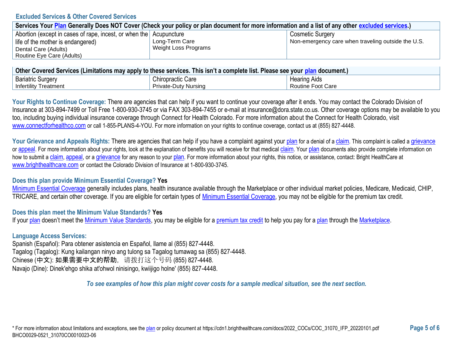### **Excluded Services & Other Covered Services**

| Services Your Plan Generally Does NOT Cover (Check your policy or plan document for more information and a list of any other excluded services.) |                      |                                                    |  |
|--------------------------------------------------------------------------------------------------------------------------------------------------|----------------------|----------------------------------------------------|--|
| Abortion (except in cases of rape, incest, or when the Acupuncture                                                                               |                      | <b>Cosmetic Surgery</b>                            |  |
| life of the mother is endangered)                                                                                                                | Long-Term Care       | Non-emergency care when traveling outside the U.S. |  |
| Dental Care (Adults)                                                                                                                             | Weight Loss Programs |                                                    |  |
| Routine Eye Care (Adults)                                                                                                                        |                      |                                                    |  |

| ∣ Other Covered Services (Limitations may apply to these services. This isn't a complete list. Please see your <u>plan</u> document.) ⊺ |                             |                     |  |
|-----------------------------------------------------------------------------------------------------------------------------------------|-----------------------------|---------------------|--|
| <b>Bariatric Surgery</b>                                                                                                                | <b>Chiropractic Care</b>    | <b>Hearing Aids</b> |  |
| <b>Infertility Treatment</b>                                                                                                            | <b>Private-Duty Nursing</b> | Routine Foot Care   |  |

Your Rights to Continue Coverage: There are agencies that can help if you want to continue your coverage after it ends. You may contact the Colorado Division of Insurance at 303-894-7499 or Toll Free 1-800-930-3745 or via FAX 303-894-7455 or e-mail at insurance@dora.state.co.us. Other coverage options may be available to you too, including buying individual insurance coverage through Connect for Health Colorado. For more information about the Connect for Health Colorado, visit [www.connectforhealthco.com](https://www.connectforhealthco.com/) or call 1-855-PLANS-4-YOU. For more information on your rights to continue coverage, contact us at (855) 827-4448.

Your Grievance and Appeals Rights: There are agencies that can help if you have a complaint against your [plan](https://www.healthcare.gov/sbc-glossary/#plan) for a denial of a [claim](https://www.healthcare.gov/sbc-glossary/#claim). This complaint is called a [grievance](https://www.healthcare.gov/sbc-glossary/#grievance) or [appeal](https://www.healthcare.gov/sbc-glossary/#appeal). For more information about your rights, look at the explanation of benefits you will receive for that medical [claim](https://www.healthcare.gov/sbc-glossary/#claim). Your [plan](https://www.healthcare.gov/sbc-glossary/#plan) documents also provide complete information on how to submit a [claim](https://www.healthcare.gov/sbc-glossary/#claim), [appeal](https://www.healthcare.gov/sbc-glossary/#appeal), or a [grievance](https://www.healthcare.gov/sbc-glossary/#grievance) for any reason to your [plan](https://www.healthcare.gov/sbc-glossary/#plan). For more information about your rights, this notice, or assistance, contact: Bright HealthCare at [www.brighthealthcare.com](https://brighthealthplan.com/) or contact the Colorado Division of Insurance at 1-800-930-3745.

# **Does this plan provide Minimum Essential Coverage? Yes**

[Minimum Essential Coverage](https://www.healthcare.gov/sbc-glossary/#minimum-essential-coverage) generally includes plans, health insurance available through the Marketplace or other individual market policies, Medicare, Medicaid, CHIP, TRICARE, and certain other coverage. If you are eligible for certain types of [Minimum Essential Coverage,](https://www.healthcare.gov/sbc-glossary/#minimum-essential-coverage) you may not be eligible for the premium tax credit.

# **Does this plan meet the Minimum Value Standards? Yes**

If you[r plan](https://www.healthcare.gov/sbc-glossary/#plan) doesn't meet the [Minimum Value Standards,](https://www.healthcare.gov/sbc-glossary/#minimum-value-standard) you may be eligible for a [premium tax credit](https://www.healthcare.gov/sbc-glossary/#premium-tax-credits) to help you pay for a [plan](https://www.healthcare.gov/sbc-glossary/#plan) through the [Marketplace.](https://www.healthcare.gov/sbc-glossary/#marketplace)

# **Language Access Services:**

Spanish (Español): Para obtener asistencia en Español, llame al (855) 827-4448. Tagalog (Tagalog): Kung kailangan ninyo ang tulong sa Tagalog tumawag sa (855) 827-4448. Chinese (中文): 如果需要中文的帮助,请拨打这个号码 (855) 827-4448. Navajo (Dine): Dinek'ehgo shika at'ohwol ninisingo, kwiijigo holne' (855) 827-4448.

*To see examples of how this plan might cover costs for a sample medical situation, see the next section.*